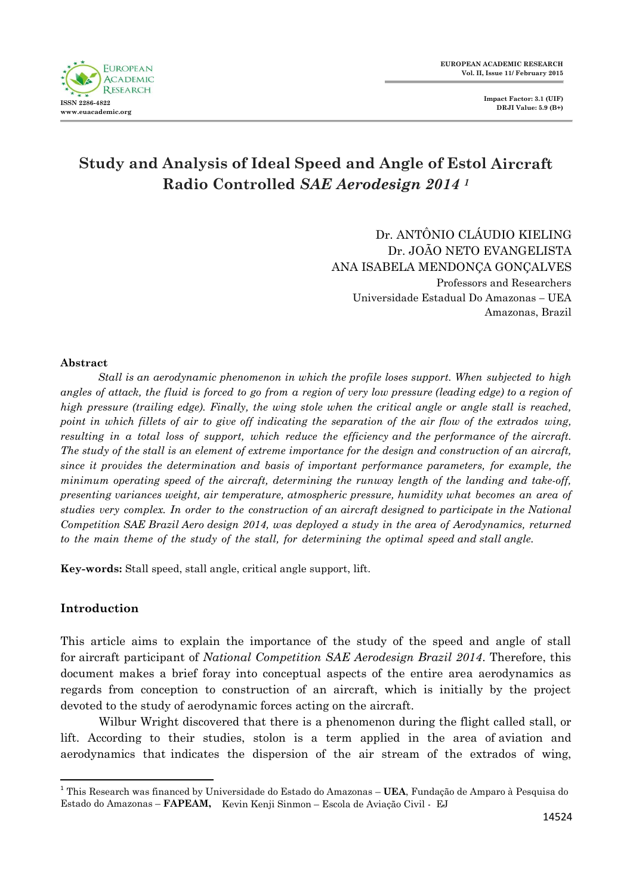

# **Study and Analysis of Ideal Speed and Angle of Estol Aircraft Radio Controlled** *SAE Aerodesign 2014 <sup>1</sup>*

Dr. ANTÔNIO CLÁUDIO KIELING Dr. JOÃO NETO EVANGELISTA ANA ISABELA MENDONÇA GONÇALVES Professors and Researchers Universidade Estadual Do Amazonas *–* UEA Amazonas, Brazil

#### **Abstract**

*Stall is an aerodynamic phenomenon in which the profile loses support. When subjected to high* angles of attack, the fluid is forced to go from a region of very low pressure (leading edge) to a region of *high pressure (trailing edge). Finally, the wing stole when the critical angle or angle stall is reached, point in which fillets of air to give off indicating the separation of the air flow of the extrados wing, resulting in a total loss of support, which reduce the efficiency and the performance of the aircraft. The study of the stall is an element of extreme importance for the design and construction of an aircraft, since it provides the determination and basis of important performance parameters, for example, the minimum operating speed of the aircraft, determining the runway length of the landing and take-off, presenting variances weight, air temperature, atmospheric pressure, humidity what becomes an area of studies very complex. In order to the construction of an aircraft designed to participate in the National Competition SAE Brazil Aero design 2014, was deployed a study in the area of Aerodynamics, returned to the main theme of the study of the stall, for determining the optimal speed and stall angle.*

**Key-words:** Stall speed, stall angle, critical angle support, lift.

#### **Introduction**

 $\overline{a}$ 

This article aims to explain the importance of the study of the speed and angle of stall for aircraft participant of *National Competition SAE Aerodesign Brazil 2014*. Therefore, this document makes a brief foray into conceptual aspects of the entire area aerodynamics as regards from conception to construction of an aircraft, which is initially by the project devoted to the study of aerodynamic forces acting on the aircraft.

Wilbur Wright discovered that there is a phenomenon during the flight called stall, or lift. According to their studies, stolon is a term applied in the area of aviation and aerodynamics that indicates the dispersion of the air stream of the extrados of wing,

<sup>1</sup> This Research was financed by Universidade do Estado do Amazonas – **UEA**, Fundação de Amparo à Pesquisa do Estado do Amazonas – **FAPEAM,** Kevin Kenji Sinmon – Escola de Aviação Civil - EJ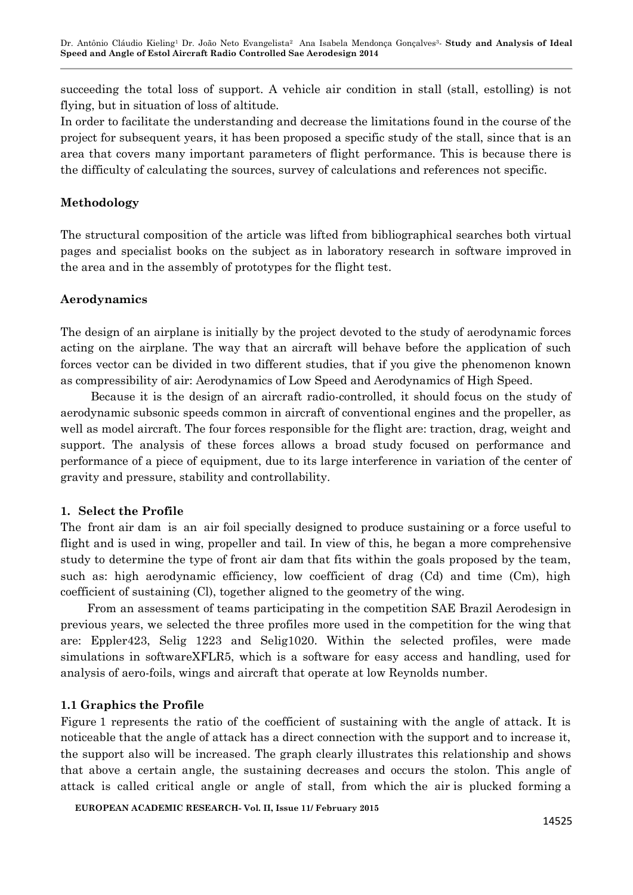succeeding the total loss of support. A vehicle air condition in stall (stall, estolling) is not flying, but in situation of loss of altitude.

In order to facilitate the understanding and decrease the limitations found in the course of the project for subsequent years, it has been proposed a specific study of the stall, since that is an area that covers many important parameters of flight performance. This is because there is the difficulty of calculating the sources, survey of calculations and references not specific.

# **Methodology**

The structural composition of the article was lifted from bibliographical searches both virtual pages and specialist books on the subject as in laboratory research in software improved in the area and in the assembly of prototypes for the flight test.

# **Aerodynamics**

The design of an airplane is initially by the project devoted to the study of aerodynamic forces acting on the airplane. The way that an aircraft will behave before the application of such forces vector can be divided in two different studies, that if you give the phenomenon known as compressibility of air: Aerodynamics of Low Speed and Aerodynamics of High Speed.

Because it is the design of an aircraft radio-controlled, it should focus on the study of aerodynamic subsonic speeds common in aircraft of conventional engines and the propeller, as well as model aircraft. The four forces responsible for the flight are: traction, drag, weight and support. The analysis of these forces allows a broad study focused on performance and performance of a piece of equipment, due to its large interference in variation of the center of gravity and pressure, stability and controllability.

# **1. Select the Profile**

The front air dam is an air foil specially designed to produce sustaining or a force useful to flight and is used in wing, propeller and tail. In view of this, he began a more comprehensive study to determine the type of front air dam that fits within the goals proposed by the team, such as: high aerodynamic efficiency, low coefficient of drag (Cd) and time (Cm), high coefficient of sustaining (Cl), together aligned to the geometry of the wing.

From an assessment of teams participating in the competition SAE Brazil Aerodesign in previous years, we selected the three profiles more used in the competition for the wing that are: Eppler423, Selig 1223 and Selig1020. Within the selected profiles, were made simulations in softwareXFLR5, which is a software for easy access and handling, used for analysis of aero-foils, wings and aircraft that operate at low Reynolds number.

# **1.1 Graphics the Profile**

Figure 1 represents the ratio of the coefficient of sustaining with the angle of attack. It is noticeable that the angle of attack has a direct connection with the support and to increase it, the support also will be increased. The graph clearly illustrates this relationship and shows that above a certain angle, the sustaining decreases and occurs the stolon. This angle of attack is called critical angle or angle of stall, from which the air is plucked forming a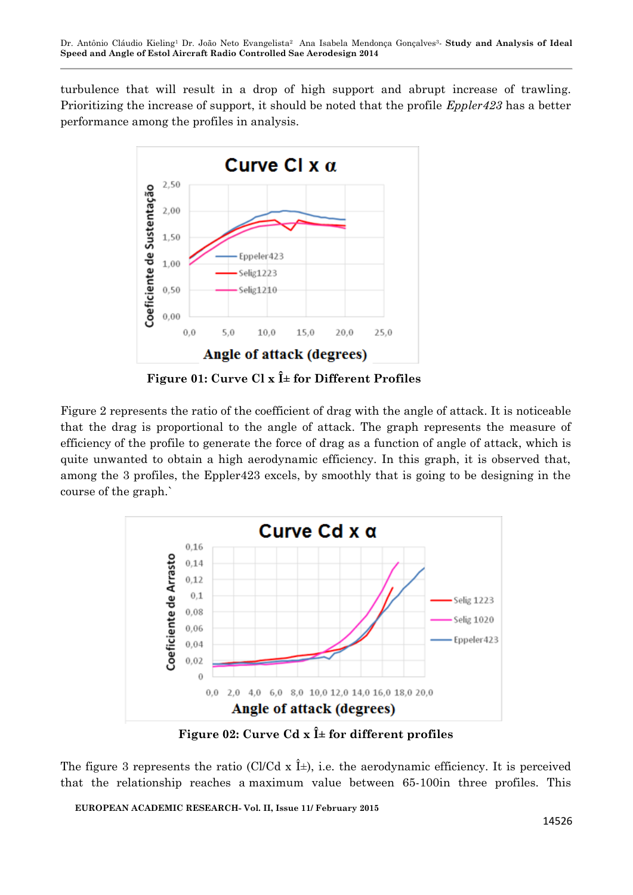turbulence that will result in a drop of high support and abrupt increase of trawling. Prioritizing the increase of support, it should be noted that the profile *Eppler423* has a better performance among the profiles in analysis.



Figure 01: Curve Cl  $\mathbf{x}$   $\hat{\mathbf{l}}$  = for Different Profiles

Figure 2 represents the ratio of the coefficient of drag with the angle of attack. It is noticeable that the drag is proportional to the angle of attack. The graph represents the measure of efficiency of the profile to generate the force of drag as a function of angle of attack, which is quite unwanted to obtain a high aerodynamic efficiency. In this graph, it is observed that, among the 3 profiles, the Eppler423 excels, by smoothly that is going to be designing in the course of the graph.`



Figure 02: Curve Cd  $\mathbf{x}$   $\hat{\mathbf{l}}$  = for different profiles

The figure 3 represents the ratio (Cl/Cd x  $\hat{I}$ ±), i.e. the aerodynamic efficiency. It is perceived that the relationship reaches a maximum value between 65-100in three profiles. This

**EUROPEAN ACADEMIC RESEARCH- Vol. II, Issue 11/ February 2015**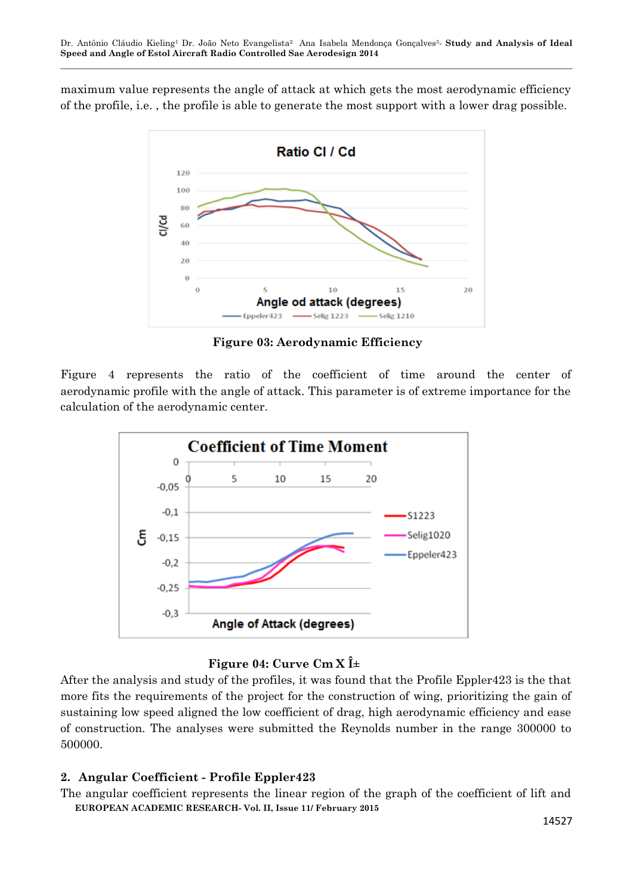maximum value represents the angle of attack at which gets the most aerodynamic efficiency of the profile, i.e. , the profile is able to generate the most support with a lower drag possible.



**Figure 03: Aerodynamic Efficiency**

Figure 4 represents the ratio of the coefficient of time around the center of aerodynamic profile with the angle of attack. This parameter is of extreme importance for the calculation of the aerodynamic center.



# **Figure 04: Curve Cm X** $\hat{\mathbf{l}}$ ±

After the analysis and study of the profiles, it was found that the Profile Eppler423 is the that more fits the requirements of the project for the construction of wing, prioritizing the gain of sustaining low speed aligned the low coefficient of drag, high aerodynamic efficiency and ease of construction. The analyses were submitted the Reynolds number in the range 300000 to 500000.

# **2. Angular Coefficient - Profile Eppler423**

**EUROPEAN ACADEMIC RESEARCH- Vol. II, Issue 11/ February 2015** The angular coefficient represents the linear region of the graph of the coefficient of lift and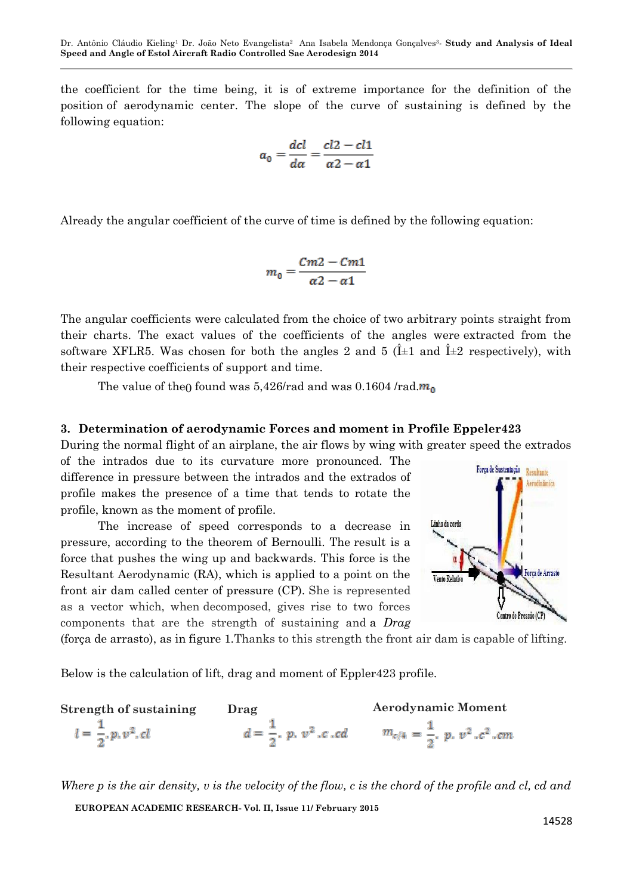the coefficient for the time being, it is of extreme importance for the definition of the position of aerodynamic center. The slope of the curve of sustaining is defined by the following equation:

$$
a_0 = \frac{dcl}{d\alpha} = \frac{cl2 - cl1}{\alpha 2 - \alpha 1}
$$

Already the angular coefficient of the curve of time is defined by the following equation:

$$
m_0=\frac{Cm2-Cm1}{\alpha 2-\alpha 1}
$$

The angular coefficients were calculated from the choice of two arbitrary points straight from their charts. The exact values of the coefficients of the angles were extracted from the software XFLR5. Was chosen for both the angles 2 and 5 ( $\hat{I}$  +1 and  $\hat{I}$  +2 respectively), with their respective coefficients of support and time.

The value of the<sub>0</sub> found was 5,426/rad and was 0.1604 /rad. $m_0$ 

### **3. Determination of aerodynamic Forces and moment in Profile Eppeler423**

During the normal flight of an airplane, the air flows by wing with greater speed the extrados

of the intrados due to its curvature more pronounced. The difference in pressure between the intrados and the extrados of profile makes the presence of a time that tends to rotate the profile, known as the moment of profile.

The increase of speed corresponds to a decrease in pressure, according to the theorem of Bernoulli. The result is a force that pushes the wing up and backwards. This force is the Resultant Aerodynamic (RA), which is applied to a point on the front air dam called center of pressure (CP). She is represented as a vector which, when decomposed, gives rise to two forces components that are the strength of sustaining and a *[Drag](http://pt.wikipedia.org/wiki/For%C3%A7a_de_arrasto)*



[\(força](http://pt.wikipedia.org/wiki/For%C3%A7a_de_arrasto) [de arrasto\),](http://pt.wikipedia.org/wiki/For%C3%A7a_de_arrasto) as in figure 1.Thanks to this strength the front air dam is capable of lifting.

Below is the calculation of lift, drag and moment of Eppler423 profile.

| Strength of sustaining                     | Drag                                          | <b>Aerodynamic Moment</b>                |
|--------------------------------------------|-----------------------------------------------|------------------------------------------|
| $l = \frac{1}{2}$ , p, v <sup>2</sup> , cl | $d = \frac{1}{2}$ , p. v <sup>2</sup> , c. cd | $m_{c/4} = \frac{1}{2}, p, v^2, c^2, cm$ |

**EUROPEAN ACADEMIC RESEARCH- Vol. II, Issue 11/ February 2015** *Where p is the air density, v is the velocity of the flow, c is the chord of the profile and cl, cd and*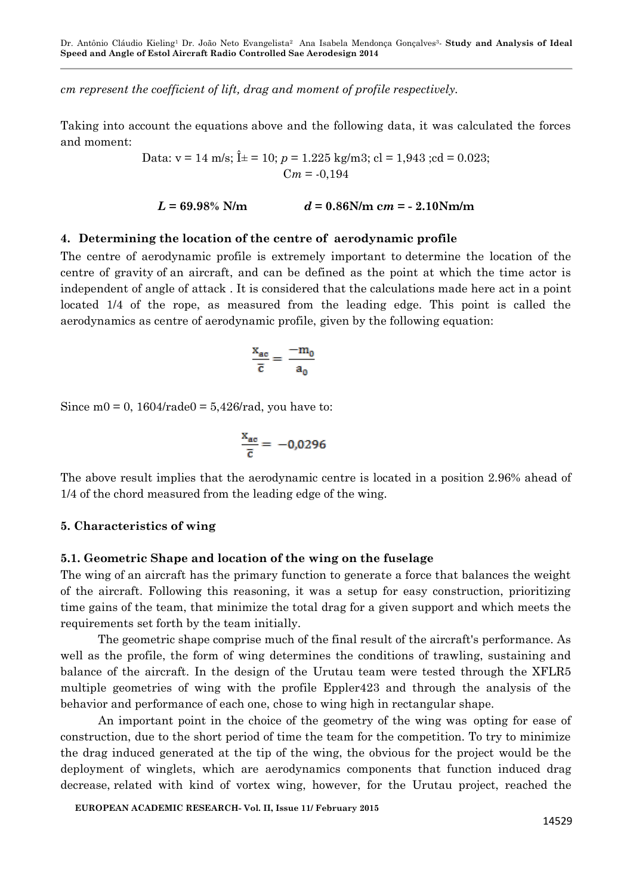Dr. Antônio Cláudio Kieling<sup>1</sup> Dr. João Neto Evangelista2 Ana Isabela Mendonça Gonçalves3*-* **Study and Analysis of Ideal Speed and Angle of Estol Aircraft Radio Controlled Sae Aerodesign 2014** 

*cm represent the coefficient of lift, drag and moment of profile respectively.*

Taking into account the equations above and the following data, it was calculated the forces and moment:

> Data:  $v = 14$  m/s;  $\hat{I} \pm 10$ ;  $p = 1.225$  kg/m3; cl = 1,943; cd = 0.023;  $Cm = -0.194$

$$
L = 69.98\% \text{ N/m}
$$
  $d = 0.86 \text{N/m cm} = -2.10 \text{N/m/m}$ 

#### **4. Determining the location of the centre of aerodynamic profile**

The centre of aerodynamic profile is extremely important to determine the location of the centre of gravity of an aircraft, and can be defined as the point at which the time actor is independent of angle of attack . It is considered that the calculations made here act in a point located 1/4 of the rope, as measured from the leading edge. This point is called the aerodynamics as centre of aerodynamic profile, given by the following equation:

$$
\frac{x_{ac}}{\bar{c}} = \frac{-m_0}{a_0}
$$

Since m0 = 0,  $1604$ /rade0 = 5,426/rad, you have to:

$$
\frac{x_{ac}}{\overline{c}} = -0.0296
$$

The above result implies that the aerodynamic centre is located in a position 2.96% ahead of 1/4 of the chord measured from the leading edge of the wing.

#### **5. Characteristics of wing**

#### **5.1. Geometric Shape and location of the wing on the fuselage**

The wing of an aircraft has the primary function to generate a force that balances the weight of the aircraft. Following this reasoning, it was a setup for easy construction, prioritizing time gains of the team, that minimize the total drag for a given support and which meets the requirements set forth by the team initially.

The geometric shape comprise much of the final result of the aircraft's performance. As well as the profile, the form of wing determines the conditions of trawling, sustaining and balance of the aircraft. In the design of the Urutau team were tested through the XFLR5 multiple geometries of wing with the profile Eppler423 and through the analysis of the behavior and performance of each one, chose to wing high in rectangular shape.

An important point in the choice of the geometry of the wing was opting for ease of construction, due to the short period of time the team for the competition. To try to minimize the drag induced generated at the tip of the wing, the obvious for the project would be the deployment of winglets, which are aerodynamics components that function induced drag decrease, related with kind of vortex wing, however, for the Urutau project, reached the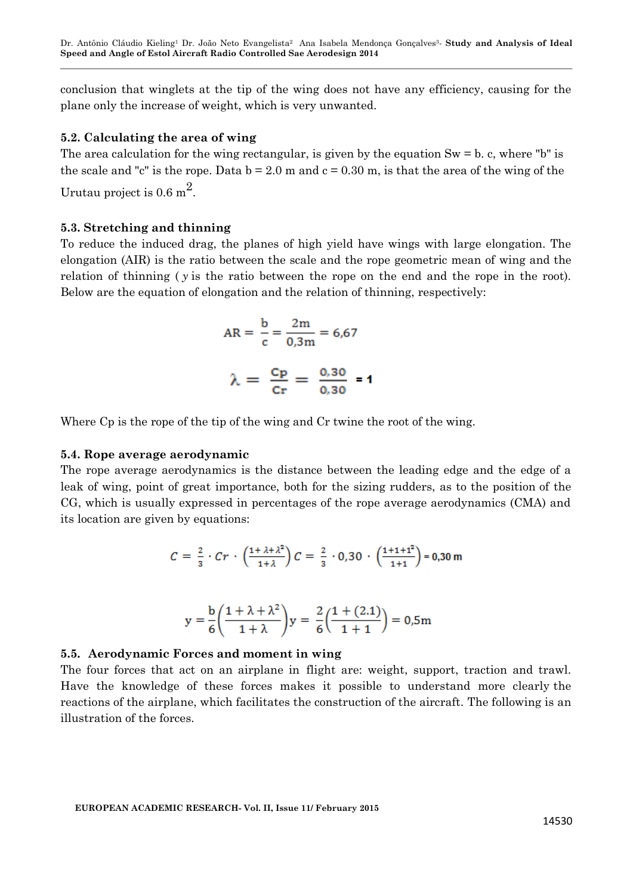conclusion that winglets at the tip of the wing does not have any efficiency, causing for the plane only the increase of weight, which is very unwanted.

#### **5.2. Calculating the area of wing**

The area calculation for the wing rectangular, is given by the equation  $Sw = b$ . c, where "b" is the scale and "c" is the rope. Data  $b = 2.0$  m and  $c = 0.30$  m, is that the area of the wing of the Urutau project is  $0.6 \text{ m}^2$ .

#### **5.3. Stretching and thinning**

To reduce the induced drag, the planes of high yield have wings with large elongation. The elongation (AIR) is the ratio between the scale and the rope geometric mean of wing and the relation of thinning ( *y* is the ratio between the rope on the end and the rope in the root). Below are the equation of elongation and the relation of thinning, respectively:

$$
AR = \frac{b}{c} = \frac{2m}{0.3m} = 6.67
$$

$$
\lambda = \frac{c_{\mathbf{p}}}{c_{\mathbf{r}}} = \frac{0.30}{0.30} = 1
$$

Where Cp is the rope of the tip of the wing and Cr twine the root of the wing.

#### **5.4. Rope average aerodynamic**

The rope average aerodynamics is the distance between the leading edge and the edge of a leak of wing, point of great importance, both for the sizing rudders, as to the position of the CG, which is usually expressed in percentages of the rope average aerodynamics (CMA) and its location are given by equations:

$$
C = \frac{2}{3} \cdot Cr \cdot \left(\frac{1 + \lambda + \lambda^2}{1 + \lambda}\right) C = \frac{2}{3} \cdot 0.30 \cdot \left(\frac{1 + 1 + 1^2}{1 + 1}\right) = 0.30 \text{ m}
$$

$$
y = \frac{b}{6} \left( \frac{1 + \lambda + \lambda^2}{1 + \lambda} \right) y = \frac{2}{6} \left( \frac{1 + (2.1)}{1 + 1} \right) = 0.5 \text{m}
$$

#### **5.5. Aerodynamic Forces and moment in wing**

The four forces that act on an airplane in flight are: weight, support, traction and trawl. Have the knowledge of these forces makes it possible to understand more clearly the reactions of the airplane, which facilitates the construction of the aircraft. The following is an illustration of the forces.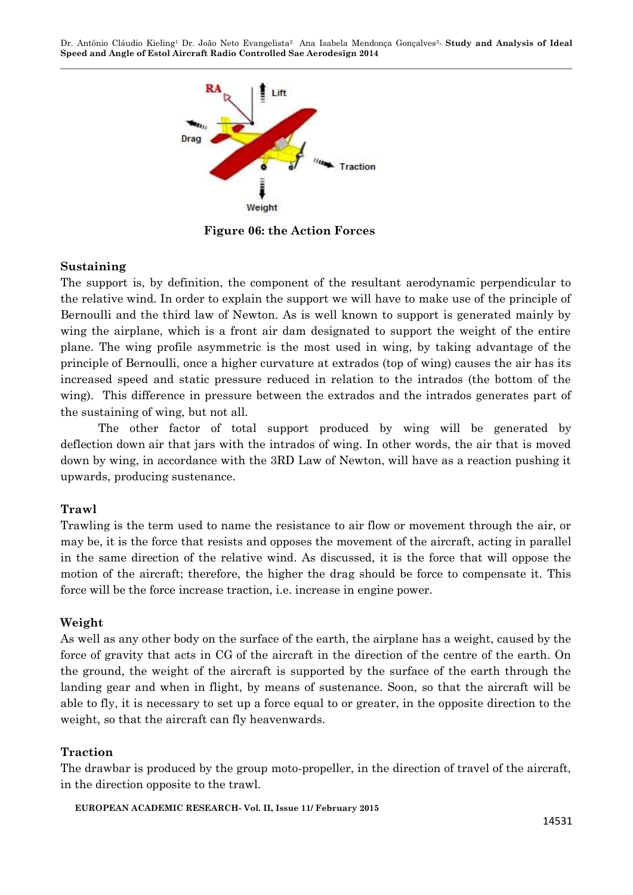Dr. Antônio Cláudio Kieling<sup>1</sup> Dr. João Neto Evangelista2 Ana Isabela Mendonça Gonçalves3*-* **Study and Analysis of Ideal Speed and Angle of Estol Aircraft Radio Controlled Sae Aerodesign 2014** 



**Figure 06: the Action Forces**

### **Sustaining**

The support is, by definition, the component of the resultant aerodynamic perpendicular to the relative wind. In order to explain the support we will have to make use of the principle of Bernoulli and the third law of Newton. As is well known to support is generated mainly by wing the airplane, which is a front air dam designated to support the weight of the entire plane. The wing profile asymmetric is the most used in wing, by taking advantage of the principle of Bernoulli, once a higher curvature at extrados (top of wing) causes the air has its increased speed and static pressure reduced in relation to the intrados (the bottom of the wing). This difference in pressure between the extrados and the intrados generates part of the sustaining of wing, but not all.

The other factor of total support produced by wing will be generated by deflection down air that jars with the intrados of wing. In other words, the air that is moved down by wing, in accordance with the 3RD Law of Newton, will have as a reaction pushing it upwards, producing sustenance.

#### **Trawl**

Trawling is the term used to name the resistance to air flow or movement through the air, or may be, it is the force that resists and opposes the movement of the aircraft, acting in parallel in the same direction of the relative wind. As discussed, it is the force that will oppose the motion of the aircraft; therefore, the higher the drag should be force to compensate it. This force will be the force increase traction, i.e. increase in engine power.

# **Weight**

As well as any other body on the surface of the earth, the airplane has a weight, caused by the force of gravity that acts in CG of the aircraft in the direction of the centre of the earth. On the ground, the weight of the aircraft is supported by the surface of the earth through the landing gear and when in flight, by means of sustenance. Soon, so that the aircraft will be able to fly, it is necessary to set up a force equal to or greater, in the opposite direction to the weight, so that the aircraft can fly heavenwards.

#### **Traction**

The drawbar is produced by the group moto-propeller, in the direction of travel of the aircraft, in the direction opposite to the trawl.

```
EUROPEAN ACADEMIC RESEARCH- Vol. II, Issue 11/ February 2015
```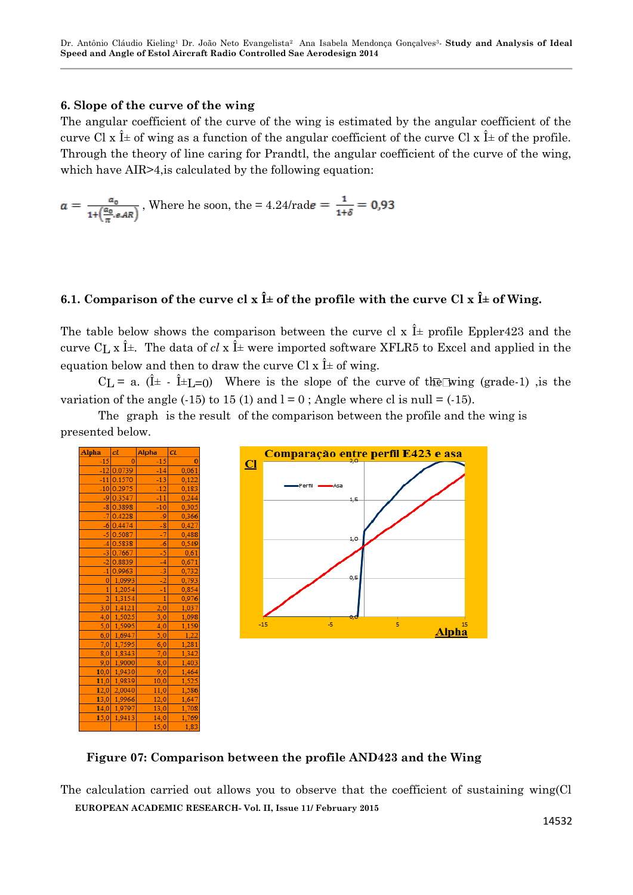# **6. Slope of the curve of the wing**

The angular coefficient of the curve of the wing is estimated by the angular coefficient of the curve Cl x  $\hat{I}$  of wing as a function of the angular coefficient of the curve Cl x  $\hat{I}$  of the profile. Through the theory of line caring for Prandtl, the angular coefficient of the curve of the wing, which have AIR>4, is calculated by the following equation:

$$
a = \frac{a_0}{1 + \left(\frac{a_0}{\pi}, e, AR\right)}
$$
, Where he soon, the = 4.24/rade =  $\frac{1}{1 + \delta}$  = 0.93

# **6.1. Comparison of the curve cl x**  $\hat{\mathbf{l}}$  **+ of the profile with the curve Cl x**  $\hat{\mathbf{l}}$  **+ of Wing.**

The table below shows the comparison between the curve cl x  $\hat{I}$  profile Eppler423 and the curve C<sub>L</sub> x  $\hat{I}$  +. The data of *cl* x  $\hat{I}$  + were imported software XFLR5 to Excel and applied in the equation below and then to draw the curve Cl  $x \hat{I}$  of wing.

 $CL = a.$   $(\hat{I} \pm - \hat{I} \pm I = 0)$  Where is the slope of the curve of the wing (grade-1), is the variation of the angle  $(-15)$  to  $15(1)$  and  $1 = 0$ ; Angle where cl is null =  $(-15)$ .

The graph is the result of the comparison between the profile and the wing is presented below.





**Figure 07: Comparison between the profile AND423 and the Wing**

**EUROPEAN ACADEMIC RESEARCH- Vol. II, Issue 11/ February 2015** The calculation carried out allows you to observe that the coefficient of sustaining wing(Cl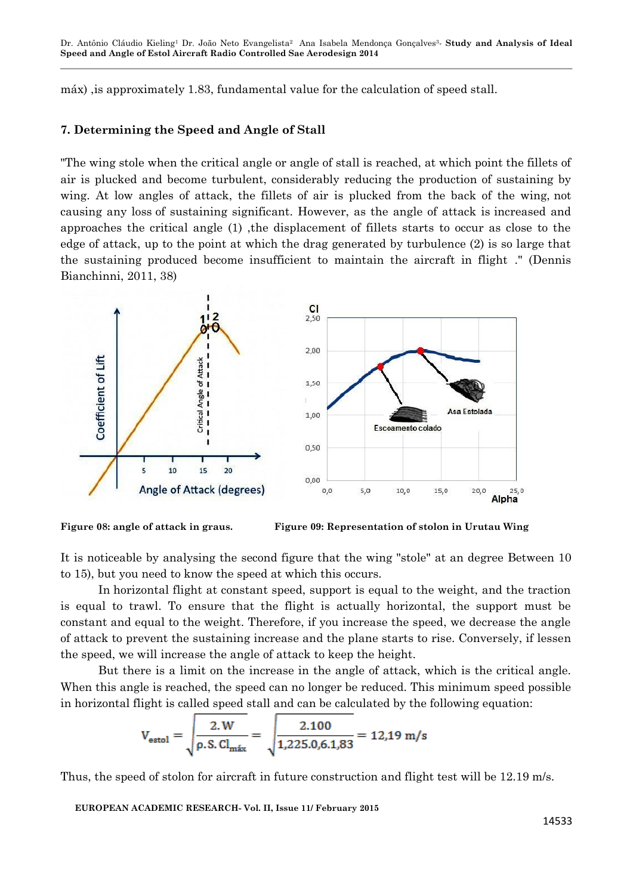Dr. Antônio Cláudio Kieling<sup>1</sup> Dr. João Neto Evangelista2 Ana Isabela Mendonça Gonçalves3*-* **Study and Analysis of Ideal Speed and Angle of Estol Aircraft Radio Controlled Sae Aerodesign 2014** 

máx) ,is approximately 1.83, fundamental value for the calculation of speed stall.

#### **7. Determining the Speed and Angle of Stall**

"The wing stole when the critical angle or angle of stall is reached, at which point the fillets of air is plucked and become turbulent, considerably reducing the production of sustaining by wing. At low angles of attack, the fillets of air is plucked from the back of the wing, not causing any loss of sustaining significant. However, as the angle of attack is increased and approaches the critical angle (1) ,the displacement of fillets starts to occur as close to the edge of attack, up to the point at which the drag generated by turbulence (2) is so large that the sustaining produced become insufficient to maintain the aircraft in flight ." (Dennis Bianchinni, 2011, 38)



**Figure 08: angle of attack in graus. Figure 09: Representation of stolon in Urutau Wing**

It is noticeable by analysing the second figure that the wing "stole" at an degree Between 10 to 15), but you need to know the speed at which this occurs.

In horizontal flight at constant speed, support is equal to the weight, and the traction is equal to trawl. To ensure that the flight is actually horizontal, the support must be constant and equal to the weight. Therefore, if you increase the speed, we decrease the angle of attack to prevent the sustaining increase and the plane starts to rise. Conversely, if lessen the speed, we will increase the angle of attack to keep the height.

But there is a limit on the increase in the angle of attack, which is the critical angle. When this angle is reached, the speed can no longer be reduced. This minimum speed possible in horizontal flight is called speed stall and can be calculated by the following equation:

$$
V_{\text{estol}} = \sqrt{\frac{2. \text{W}}{\rho \cdot \text{S}.\text{Cl}_{\text{max}}}} = \sqrt{\frac{2.100}{1,225.0,6.1,83}} = 12,19 \text{ m/s}
$$

Thus, the speed of stolon for aircraft in future construction and flight test will be 12.19 m/s.

**EUROPEAN ACADEMIC RESEARCH- Vol. II, Issue 11/ February 2015**